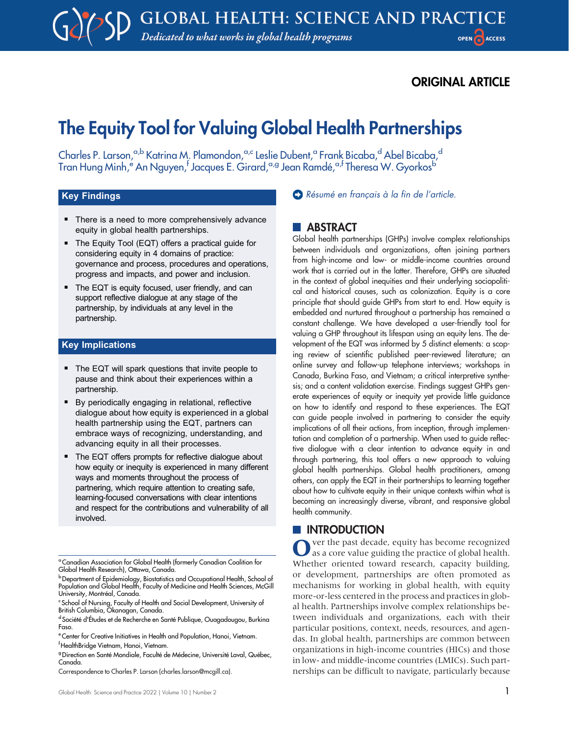# ORIGINAL ARTICLE

# The Equity Tool for Valuing Global Health Partnerships

Charles P. Larson,<sup>a,b</sup> Katrina M. Plamondon,<sup>a,c</sup> Leslie Dubent,<sup>a</sup> Frank Bicaba,<sup>d</sup> Abel Bicaba,<sup>d</sup> Tran Hung Minh,<sup>e</sup> An Nguyen,<sup>f</sup> Jacques E. Girard,<sup>a,g</sup> Jean Ramdé,<sup>a,f</sup> Theresa W. Gyorkos<sup>b</sup>

# Key Findings

- There is a need to more comprehensively advance equity in global health partnerships.
- The Equity Tool (EQT) offers a practical guide for considering equity in 4 domains of practice: governance and process, procedures and operations, progress and impacts, and power and inclusion.
- The EQT is equity focused, user friendly, and can support reflective dialogue at any stage of the partnership, by individuals at any level in the partnership.

### Key Implications

- The EQT will spark questions that invite people to pause and think about their experiences within a partnership.
- **By periodically engaging in relational, reflective** dialogue about how equity is experienced in a global health partnership using the EQT, partners can embrace ways of recognizing, understanding, and advancing equity in all their processes.
- $\blacksquare$  The EQT offers prompts for reflective dialogue about how equity or inequity is experienced in many different ways and moments throughout the process of partnering, which require attention to creating safe, learning-focused conversations with clear intentions and respect for the contributions and vulnerability of all involved.

[Résumé en français à la fin de l](#page-8-0)'article.

# **ABSTRACT**

Global health partnerships (GHPs) involve complex relationships between individuals and organizations, often joining partners from high-income and low- or middle-income countries around work that is carried out in the latter. Therefore, GHPs are situated in the context of global inequities and their underlying sociopolitical and historical causes, such as colonization. Equity is a core principle that should guide GHPs from start to end. How equity is embedded and nurtured throughout a partnership has remained a constant challenge. We have developed a user-friendly tool for valuing a GHP throughout its lifespan using an equity lens. The development of the EQT was informed by 5 distinct elements: a scoping review of scientific published peer-reviewed literature; an online survey and follow-up telephone interviews; workshops in Canada, Burkina Faso, and Vietnam; a critical interpretive synthesis; and a content validation exercise. Findings suggest GHPs generate experiences of equity or inequity yet provide little guidance on how to identify and respond to these experiences. The EQT can guide people involved in partnering to consider the equity implications of all their actions, from inception, through implementation and completion of a partnership. When used to guide reflective dialogue with a clear intention to advance equity in and through partnering, this tool offers a new approach to valuing global health partnerships. Global health practitioners, among others, can apply the EQT in their partnerships to learning together about how to cultivate equity in their unique contexts within what is becoming an increasingly diverse, vibrant, and responsive global health community.

# **INTRODUCTION**

ver the past decade, equity has become recognized as a core value guiding the practice of global health. Whether oriented toward research, capacity building, or development, partnerships are often promoted as mechanisms for working in global health, with equity more-or-less centered in the process and practices in global health. Partnerships involve complex relationships between individuals and organizations, each with their particular positions, context, needs, resources, and agendas. In global health, partnerships are common between organizations in high-income countries (HICs) and those in low- and middle-income countries (LMICs). Such partnerships can be difficult to navigate, particularly because

<sup>&</sup>lt;sup>a</sup> Canadian Association for Global Health (formerly Canadian Coalition for Global Health Research), Ottawa, Canada.

<sup>&</sup>lt;sup>b</sup> Department of Epidemiology, Biostatistics and Occupational Health, School of<br>Population and Global Health, Faculty of Medicine and Health Sciences, McGill University, Montréal, Canada.

c School of Nursing, Faculty of Health and Social Development, University of British Columbia, Okanagan, Canada.

d Société d'Études et de Recherche en Santé Publique, Ouagadougou, Burkina Faso.

e Center for Creative Initiatives in Health and Population, Hanoi, Vietnam. f HealthBridge Vietnam, Hanoi, Vietnam.

<sup>&</sup>lt;sup>9</sup> Direction en Santé Mondiale, Faculté de Médecine, Université Laval, Québec, Canada.

Correspondence to Charles P. Larson [\(charles.larson@mcgill.ca](mailto:charles.larson@mcgill.ca)).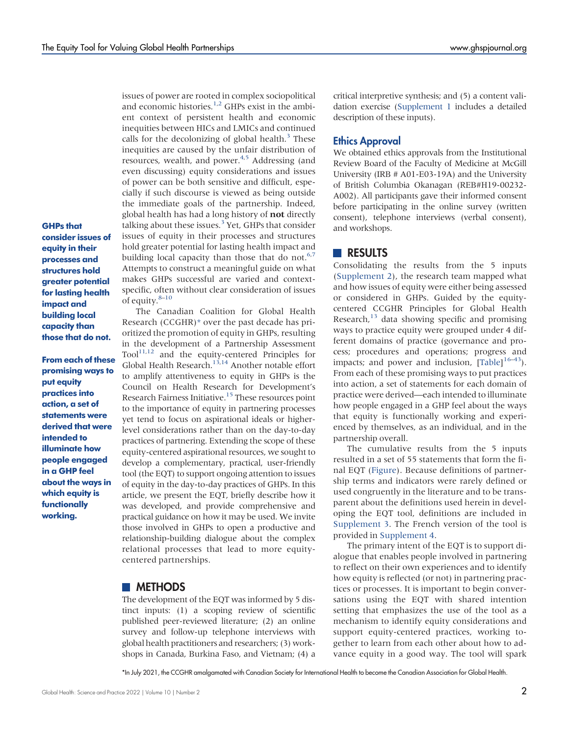GHPs that consider issues of equity in their processes and structures hold greater potential for lasting health impact and building local capacity than those that do not.

From each of these promising ways to put equity practices into action, a set of statements were derived that were intended to illuminate how people engaged in a GHP feel about the ways in which equity is functionally working.

issues of power are rooted in complex sociopolitical and economic histories.<sup>1[,2](#page-7-1)</sup> GHPs exist in the ambient context of persistent health and economic inequities between HICs and LMICs and continued calls for the decolonizing of global health. $3$  These inequities are caused by the unfair distribution of resources, wealth, and power.<sup>[4](#page-7-3)[,5](#page-7-4)</sup> Addressing (and even discussing) equity considerations and issues of power can be both sensitive and difficult, especially if such discourse is viewed as being outside the immediate goals of the partnership. Indeed, global health has had a long history of not directly talking about these issues. $3$  Yet, GHPs that consider issues of equity in their processes and structures hold greater potential for lasting health impact and building local capacity than those that do not. $67$ Attempts to construct a meaningful guide on what makes GHPs successful are varied and contextspecific, often without clear consideration of issues of equity[.8](#page-7-7)–[10](#page-7-8)

The Canadian Coalition for Global Health Research (CCGHR[\)\\*](#page-1-0) over the past decade has prioritized the promotion of equity in GHPs, resulting in the development of a Partnership Assessment  $Tool<sup>11,12</sup>$  $Tool<sup>11,12</sup>$  $Tool<sup>11,12</sup>$  and the equity-centered Principles for Global Health Research.<sup>[13](#page-7-11)[,14](#page-7-12)</sup> Another notable effort to amplify attentiveness to equity in GHPs is the Council on Health Research for Development's Research Fairness Initiative[.15](#page-7-13) These resources point to the importance of equity in partnering processes yet tend to focus on aspirational ideals or higherlevel considerations rather than on the day-to-day practices of partnering. Extending the scope of these equity-centered aspirational resources, we sought to develop a complementary, practical, user-friendly tool (the EQT) to support ongoing attention to issues of equity in the day-to-day practices of GHPs. In this article, we present the EQT, briefly describe how it was developed, and provide comprehensive and practical guidance on how it may be used. We invite those involved in GHPs to open a productive and relationship-building dialogue about the complex relational processes that lead to more equitycentered partnerships.

### **METHODS**

The development of the EQT was informed by 5 distinct inputs: (1) a scoping review of scientific published peer-reviewed literature; (2) an online survey and follow-up telephone interviews with global health practitioners and researchers; (3) workshops in Canada, Burkina Faso, and Vietnam; (4) a critical interpretive synthesis; and (5) a content validation exercise ([Supplement 1](http://ghspjournal.org/lookup/suppl/doi:10.9745/GHSP-D-21-00316/-/DCSupplemental) includes a detailed description of these inputs).

### Ethics Approval

We obtained ethics approvals from the Institutional Review Board of the Faculty of Medicine at McGill University (IRB # A01-E03-19A) and the University of British Columbia Okanagan (REB#H19-00232- A002). All participants gave their informed consent before participating in the online survey (written consent), telephone interviews (verbal consent), and workshops.

# RESULTS

Consolidating the results from the 5 inputs [\(Supplement 2\)](http://ghspjournal.org/lookup/suppl/doi:10.9745/GHSP-D-21-00316/-/DCSupplemental), the research team mapped what and how issues of equity were either being assessed or considered in GHPs. Guided by the equitycentered CCGHR Principles for Global Health Research, $13$  data showing specific and promising ways to practice equity were grouped under 4 different domains of practice (governance and process; procedures and operations; progress and impacts; and power and inclusion,  $[Table]^{16-43}$  $[Table]^{16-43}$  $[Table]^{16-43}$  $[Table]^{16-43}$ . From each of these promising ways to put practices into action, a set of statements for each domain of practice were derived—each intended to illuminate how people engaged in a GHP feel about the ways that equity is functionally working and experienced by themselves, as an individual, and in the partnership overall.

The cumulative results from the 5 inputs resulted in a set of 55 statements that form the final EQT ([Figure\)](#page-4-0). Because definitions of partnership terms and indicators were rarely defined or used congruently in the literature and to be transparent about the definitions used herein in developing the EQT tool, definitions are included in [Supplement 3.](http://ghspjournal.org/lookup/suppl/doi:10.9745/GHSP-D-21-00316/-/DCSupplemental) The French version of the tool is provided in [Supplement 4](http://ghspjournal.org/lookup/suppl/doi:10.9745/GHSP-D-21-00316/-/DCSupplemental).

The primary intent of the EQT is to support dialogue that enables people involved in partnering to reflect on their own experiences and to identify how equity is reflected (or not) in partnering practices or processes. It is important to begin conversations using the EQT with shared intention setting that emphasizes the use of the tool as a mechanism to identify equity considerations and support equity-centered practices, working together to learn from each other about how to advance equity in a good way. The tool will spark

<span id="page-1-0"></span>\*In July 2021, the CCGHR amalgamated with Canadian Society for International Health to become the Canadian Association for Global Health.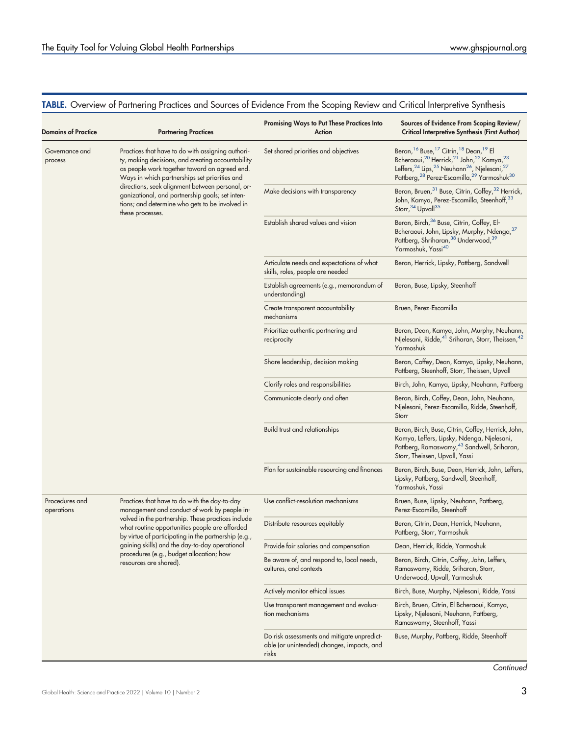# <span id="page-2-0"></span>TABLE. Overview of Partnering Practices and Sources of Evidence From the Scoping Review and Critical Interpretive Synthesis

| <b>Domains of Practice</b>   | <b>Partnering Practices</b>                                                                                                                                                                                                                                                                                                                                                            | <b>Promising Ways to Put These Practices Into</b><br>Action                                        | Sources of Evidence From Scoping Review/<br><b>Critical Interpretive Synthesis (First Author)</b>                                                                                                                                                                                                                                                                  |
|------------------------------|----------------------------------------------------------------------------------------------------------------------------------------------------------------------------------------------------------------------------------------------------------------------------------------------------------------------------------------------------------------------------------------|----------------------------------------------------------------------------------------------------|--------------------------------------------------------------------------------------------------------------------------------------------------------------------------------------------------------------------------------------------------------------------------------------------------------------------------------------------------------------------|
| Governance and<br>process    | Practices that have to do with assigning authori-<br>ty, making decisions, and creating accountability<br>as people work together toward an agreed end.<br>Ways in which partnerships set priorities and<br>directions, seek alignment between personal, or-<br>ganizational, and partnership goals; set inten-<br>tions; and determine who gets to be involved in<br>these processes. | Set shared priorities and objectives                                                               | Beran, <sup>16</sup> Buse, <sup>17</sup> Citrin, <sup>18</sup> Dean, <sup>19</sup> El<br>Bcheraoui, <sup>20</sup> Herrick, <sup>21</sup> John, <sup>22</sup> Kamya, <sup>23</sup><br>Leffers, <sup>24</sup> Lips, <sup>25</sup> Neuhann <sup>26</sup> , Njelesani, <sup>27</sup><br>Pattberg, <sup>28</sup> Perez-Escamilla, <sup>29</sup> Yarmoshuk <sup>30</sup> |
|                              |                                                                                                                                                                                                                                                                                                                                                                                        | Make decisions with transparency                                                                   | Beran, Bruen, 31 Buse, Citrin, Coffey, 32 Herrick,<br>John, Kamya, Perez-Escamilla, Steenhoff, 33<br>Storr, 34 Upvall <sup>35</sup>                                                                                                                                                                                                                                |
|                              |                                                                                                                                                                                                                                                                                                                                                                                        | Establish shared values and vision                                                                 | Beran, Birch, <sup>36</sup> Buse, Citrin, Coffey, El-<br>Bcheraoui, John, Lipsky, Murphy, Ndenga, 37<br>Pattberg, Shriharan, 38 Underwood, 39<br>Yarmoshuk, Yassi <sup>40</sup>                                                                                                                                                                                    |
|                              |                                                                                                                                                                                                                                                                                                                                                                                        | Articulate needs and expectations of what<br>skills, roles, people are needed                      | Beran, Herrick, Lipsky, Pattberg, Sandwell                                                                                                                                                                                                                                                                                                                         |
|                              |                                                                                                                                                                                                                                                                                                                                                                                        | Establish agreements (e.g., memorandum of<br>understanding)                                        | Beran, Buse, Lipsky, Steenhoff                                                                                                                                                                                                                                                                                                                                     |
|                              |                                                                                                                                                                                                                                                                                                                                                                                        | Create transparent accountability<br>mechanisms                                                    | Bruen, Perez-Escamilla                                                                                                                                                                                                                                                                                                                                             |
|                              |                                                                                                                                                                                                                                                                                                                                                                                        | Prioritize authentic partnering and<br>reciprocity                                                 | Beran, Dean, Kamya, John, Murphy, Neuhann,<br>Njelesani, Ridde, <sup>41</sup> Sriharan, Storr, Theissen, <sup>42</sup><br>Yarmoshuk                                                                                                                                                                                                                                |
|                              |                                                                                                                                                                                                                                                                                                                                                                                        | Share leadership, decision making                                                                  | Beran, Coffey, Dean, Kamya, Lipsky, Neuhann,<br>Pattberg, Steenhoff, Storr, Theissen, Upvall                                                                                                                                                                                                                                                                       |
|                              |                                                                                                                                                                                                                                                                                                                                                                                        | Clarify roles and responsibilities                                                                 | Birch, John, Kamya, Lipsky, Neuhann, Pattberg                                                                                                                                                                                                                                                                                                                      |
|                              |                                                                                                                                                                                                                                                                                                                                                                                        | Communicate clearly and often                                                                      | Beran, Birch, Coffey, Dean, John, Neuhann,<br>Njelesani, Perez-Escamilla, Ridde, Steenhoff,<br>Storr                                                                                                                                                                                                                                                               |
|                              |                                                                                                                                                                                                                                                                                                                                                                                        | Build trust and relationships                                                                      | Beran, Birch, Buse, Citrin, Coffey, Herrick, John,<br>Kamya, Leffers, Lipsky, Ndenga, Njelesani,<br>Pattberg, Ramaswamy, <sup>43</sup> Sandwell, Sriharan,<br>Storr, Theissen, Upvall, Yassi                                                                                                                                                                       |
|                              |                                                                                                                                                                                                                                                                                                                                                                                        | Plan for sustainable resourcing and finances                                                       | Beran, Birch, Buse, Dean, Herrick, John, Leffers,<br>Lipsky, Pattberg, Sandwell, Steenhoff,<br>Yarmoshuk, Yassi                                                                                                                                                                                                                                                    |
| Procedures and<br>operations | Practices that have to do with the day-to-day<br>management and conduct of work by people in-<br>volved in the partnership. These practices include<br>what routine opportunities people are afforded<br>by virtue of participating in the partnership (e.g.,<br>gaining skills) and the day-to-day operational<br>procedures (e.g., budget allocation; how<br>resources are shared).  | Use conflict-resolution mechanisms                                                                 | Bruen, Buse, Lipsky, Neuhann, Pattberg,<br>Perez-Escamilla, Steenhoff                                                                                                                                                                                                                                                                                              |
|                              |                                                                                                                                                                                                                                                                                                                                                                                        | Distribute resources equitably                                                                     | Beran, Citrin, Dean, Herrick, Neuhann,<br>Pattberg, Storr, Yarmoshuk                                                                                                                                                                                                                                                                                               |
|                              |                                                                                                                                                                                                                                                                                                                                                                                        | Provide fair salaries and compensation                                                             | Dean, Herrick, Ridde, Yarmoshuk                                                                                                                                                                                                                                                                                                                                    |
|                              |                                                                                                                                                                                                                                                                                                                                                                                        | Be aware of, and respond to, local needs,<br>cultures, and contexts                                | Beran, Birch, Citrin, Coffey, John, Leffers,<br>Ramaswamy, Ridde, Sriharan, Storr,<br>Underwood, Upvall, Yarmoshuk                                                                                                                                                                                                                                                 |
|                              |                                                                                                                                                                                                                                                                                                                                                                                        | Actively monitor ethical issues                                                                    | Birch, Buse, Murphy, Njelesani, Ridde, Yassi                                                                                                                                                                                                                                                                                                                       |
|                              |                                                                                                                                                                                                                                                                                                                                                                                        | Use transparent management and evalua-<br>tion mechanisms                                          | Birch, Bruen, Citrin, El Bcheraoui, Kamya,<br>Lipsky, Njelesani, Neuhann, Pattberg,<br>Ramaswamy, Steenhoff, Yassi                                                                                                                                                                                                                                                 |
|                              |                                                                                                                                                                                                                                                                                                                                                                                        | Do risk assessments and mitigate unpredict-<br>able (or unintended) changes, impacts, and<br>risks | Buse, Murphy, Pattberg, Ridde, Steenhoff                                                                                                                                                                                                                                                                                                                           |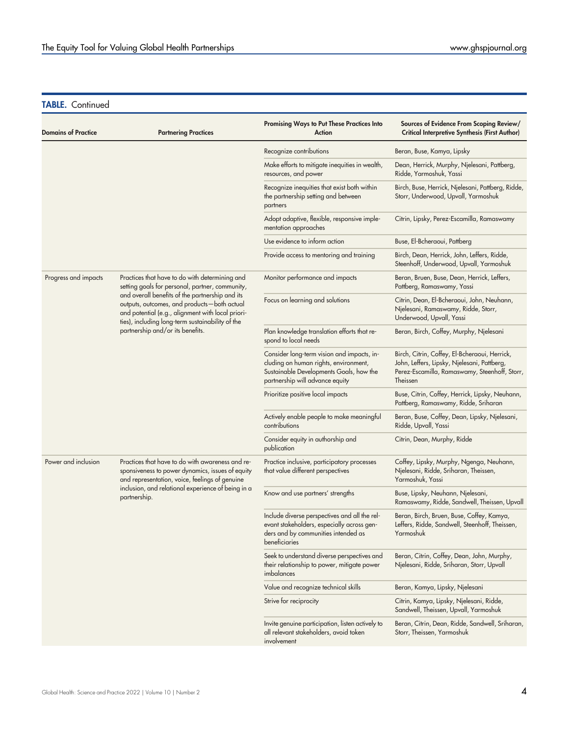| <b>Domains of Practice</b> | <b>Partnering Practices</b>                                                                                                                                                                                                                                                                                                                      | Promising Ways to Put These Practices Into<br>Action                                                                                                              | Sources of Evidence From Scoping Review/<br><b>Critical Interpretive Synthesis (First Author)</b>                                                         |
|----------------------------|--------------------------------------------------------------------------------------------------------------------------------------------------------------------------------------------------------------------------------------------------------------------------------------------------------------------------------------------------|-------------------------------------------------------------------------------------------------------------------------------------------------------------------|-----------------------------------------------------------------------------------------------------------------------------------------------------------|
|                            |                                                                                                                                                                                                                                                                                                                                                  | Recognize contributions                                                                                                                                           | Beran, Buse, Kamya, Lipsky                                                                                                                                |
|                            |                                                                                                                                                                                                                                                                                                                                                  | Make efforts to mitigate inequities in wealth,<br>resources, and power                                                                                            | Dean, Herrick, Murphy, Njelesani, Pattberg,<br>Ridde, Yarmoshuk, Yassi                                                                                    |
|                            |                                                                                                                                                                                                                                                                                                                                                  | Recognize inequities that exist both within<br>the partnership setting and between<br>partners                                                                    | Birch, Buse, Herrick, Njelesani, Pattberg, Ridde,<br>Storr, Underwood, Upvall, Yarmoshuk                                                                  |
|                            |                                                                                                                                                                                                                                                                                                                                                  | Adopt adaptive, flexible, responsive imple-<br>mentation approaches                                                                                               | Citrin, Lipsky, Perez-Escamilla, Ramaswamy                                                                                                                |
|                            |                                                                                                                                                                                                                                                                                                                                                  | Use evidence to inform action                                                                                                                                     | Buse, El-Bcheraoui, Pattberg                                                                                                                              |
|                            |                                                                                                                                                                                                                                                                                                                                                  | Provide access to mentoring and training                                                                                                                          | Birch, Dean, Herrick, John, Leffers, Ridde,<br>Steenhoff, Underwood, Upvall, Yarmoshuk                                                                    |
| Progress and impacts       | Practices that have to do with determining and<br>setting goals for personal, partner, community,<br>and overall benefits of the partnership and its<br>outputs, outcomes, and products-both actual<br>and potential (e.g., alignment with local priori-<br>ties), including long-term sustainability of the<br>partnership and/or its benefits. | Monitor performance and impacts                                                                                                                                   | Beran, Bruen, Buse, Dean, Herrick, Leffers,<br>Pattberg, Ramaswamy, Yassi                                                                                 |
|                            |                                                                                                                                                                                                                                                                                                                                                  | Focus on learning and solutions                                                                                                                                   | Citrin, Dean, El-Bcheraoui, John, Neuhann,<br>Njelesani, Ramaswamy, Ridde, Storr,<br>Underwood, Upvall, Yassi                                             |
|                            |                                                                                                                                                                                                                                                                                                                                                  | Plan knowledge translation efforts that re-<br>spond to local needs                                                                                               | Beran, Birch, Coffey, Murphy, Njelesani                                                                                                                   |
|                            |                                                                                                                                                                                                                                                                                                                                                  | Consider long-term vision and impacts, in-<br>cluding on human rights, environment,<br>Sustainable Developments Goals, how the<br>partnership will advance equity | Birch, Citrin, Coffey, El-Bcheraoui, Herrick,<br>John, Leffers, Lipsky, Njelesani, Pattberg,<br>Perez-Escamilla, Ramaswamy, Steenhoff, Storr,<br>Theissen |
|                            |                                                                                                                                                                                                                                                                                                                                                  | Prioritize positive local impacts                                                                                                                                 | Buse, Citrin, Coffey, Herrick, Lipsky, Neuhann,<br>Pattberg, Ramaswamy, Ridde, Sriharan                                                                   |
|                            |                                                                                                                                                                                                                                                                                                                                                  | Actively enable people to make meaningful<br>contributions                                                                                                        | Beran, Buse, Coffey, Dean, Lipsky, Njelesani,<br>Ridde, Upvall, Yassi                                                                                     |
|                            |                                                                                                                                                                                                                                                                                                                                                  | Consider equity in authorship and<br>publication                                                                                                                  | Citrin, Dean, Murphy, Ridde                                                                                                                               |
| Power and inclusion        | Practices that have to do with awareness and re-<br>sponsiveness to power dynamics, issues of equity<br>and representation, voice, feelings of genuine                                                                                                                                                                                           | Practice inclusive, participatory processes<br>that value different perspectives                                                                                  | Coffey, Lipsky, Murphy, Ngenga, Neuhann,<br>Njelesani, Ridde, Sriharan, Theissen,<br>Yarmoshuk, Yassi                                                     |
|                            | inclusion, and relational experience of being in a<br>partnership.                                                                                                                                                                                                                                                                               | Know and use partners' strengths                                                                                                                                  | Buse, Lipsky, Neuhann, Njelesani,<br>Ramaswamy, Ridde, Sandwell, Theissen, Upvall                                                                         |
|                            |                                                                                                                                                                                                                                                                                                                                                  | Include diverse perspectives and all the rel-<br>evant stakeholders, especially across gen-<br>ders and by communities intended as<br>beneficiaries               | Beran, Birch, Bruen, Buse, Coffey, Kamya,<br>Leffers, Ridde, Sandwell, Steenhoff, Theissen,<br>Yarmoshuk                                                  |
|                            |                                                                                                                                                                                                                                                                                                                                                  | Seek to understand diverse perspectives and<br>their relationship to power, mitigate power<br>imbalances                                                          | Beran, Citrin, Coffey, Dean, John, Murphy,<br>Njelesani, Ridde, Sriharan, Storr, Upvall                                                                   |
|                            |                                                                                                                                                                                                                                                                                                                                                  | Value and recognize technical skills                                                                                                                              | Beran, Kamya, Lipsky, Njelesani                                                                                                                           |
|                            |                                                                                                                                                                                                                                                                                                                                                  | Strive for reciprocity                                                                                                                                            | Citrin, Kamya, Lipsky, Njelesani, Ridde,<br>Sandwell, Theissen, Upvall, Yarmoshuk                                                                         |
|                            |                                                                                                                                                                                                                                                                                                                                                  | Invite genuine participation, listen actively to<br>all relevant stakeholders, avoid token<br>involvement                                                         | Beran, Citrin, Dean, Ridde, Sandwell, Sriharan,<br>Storr, Theissen, Yarmoshuk                                                                             |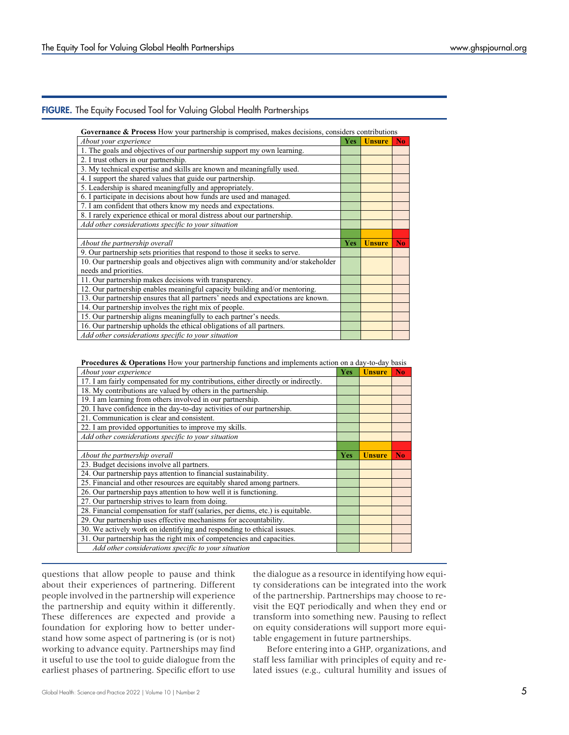# <span id="page-4-0"></span>FIGURE. The Equity Focused Tool for Valuing Global Health Partnerships

**Governance & Process** How your partnership is comprised, makes decisions, considers contributions

| About your experience                                                            | Yes        | <b>Unsure</b> | No. |
|----------------------------------------------------------------------------------|------------|---------------|-----|
| 1. The goals and objectives of our partnership support my own learning.          |            |               |     |
| 2. I trust others in our partnership.                                            |            |               |     |
| 3. My technical expertise and skills are known and meaningfully used.            |            |               |     |
| 4. I support the shared values that guide our partnership.                       |            |               |     |
| 5. Leadership is shared meaningfully and appropriately.                          |            |               |     |
| 6. I participate in decisions about how funds are used and managed.              |            |               |     |
| 7. I am confident that others know my needs and expectations.                    |            |               |     |
| 8. I rarely experience ethical or moral distress about our partnership.          |            |               |     |
| Add other considerations specific to your situation                              |            |               |     |
|                                                                                  |            |               |     |
|                                                                                  |            |               |     |
| About the partnership overall                                                    | <b>Yes</b> | <b>Unsure</b> | No. |
| 9. Our partnership sets priorities that respond to those it seeks to serve.      |            |               |     |
| 10. Our partnership goals and objectives align with community and/or stakeholder |            |               |     |
| needs and priorities.                                                            |            |               |     |
| 11. Our partnership makes decisions with transparency.                           |            |               |     |
| 12. Our partnership enables meaningful capacity building and/or mentoring.       |            |               |     |
| 13. Our partnership ensures that all partners' needs and expectations are known. |            |               |     |
| 14. Our partnership involves the right mix of people.                            |            |               |     |
| 15. Our partnership aligns meaningfully to each partner's needs.                 |            |               |     |
| 16. Our partnership upholds the ethical obligations of all partners.             |            |               |     |

**Procedures & Operations** How your partnership functions and implements action on a day-to-day basis

| About your experience                                                            | Yes | <b>Unsure</b> | N <sub>0</sub> |
|----------------------------------------------------------------------------------|-----|---------------|----------------|
| 17. I am fairly compensated for my contributions, either directly or indirectly. |     |               |                |
| 18. My contributions are valued by others in the partnership.                    |     |               |                |
| 19. I am learning from others involved in our partnership.                       |     |               |                |
| 20. I have confidence in the day-to-day activities of our partnership.           |     |               |                |
| 21. Communication is clear and consistent.                                       |     |               |                |
| 22. I am provided opportunities to improve my skills.                            |     |               |                |
| Add other considerations specific to your situation                              |     |               |                |
|                                                                                  |     |               |                |
| About the partnership overall                                                    | Yes | <b>Unsure</b> | N <sub>o</sub> |
| 23. Budget decisions involve all partners.                                       |     |               |                |
| 24. Our partnership pays attention to financial sustainability.                  |     |               |                |
| 25. Financial and other resources are equitably shared among partners.           |     |               |                |
| 26. Our partnership pays attention to how well it is functioning.                |     |               |                |
| 27. Our partnership strives to learn from doing.                                 |     |               |                |
| 28. Financial compensation for staff (salaries, per diems, etc.) is equitable.   |     |               |                |
| 29. Our partnership uses effective mechanisms for accountability.                |     |               |                |
| 30. We actively work on identifying and responding to ethical issues.            |     |               |                |
| 31. Our partnership has the right mix of competencies and capacities.            |     |               |                |
| Add other considerations specific to your situation                              |     |               |                |

questions that allow people to pause and think about their experiences of partnering. Different people involved in the partnership will experience the partnership and equity within it differently. These differences are expected and provide a foundation for exploring how to better understand how some aspect of partnering is (or is not) working to advance equity. Partnerships may find it useful to use the tool to guide dialogue from the earliest phases of partnering. Specific effort to use the dialogue as a resource in identifying how equity considerations can be integrated into the work of the partnership. Partnerships may choose to revisit the EQT periodically and when they end or transform into something new. Pausing to reflect on equity considerations will support more equitable engagement in future partnerships.

Before entering into a GHP, organizations, and staff less familiar with principles of equity and related issues (e.g., cultural humility and issues of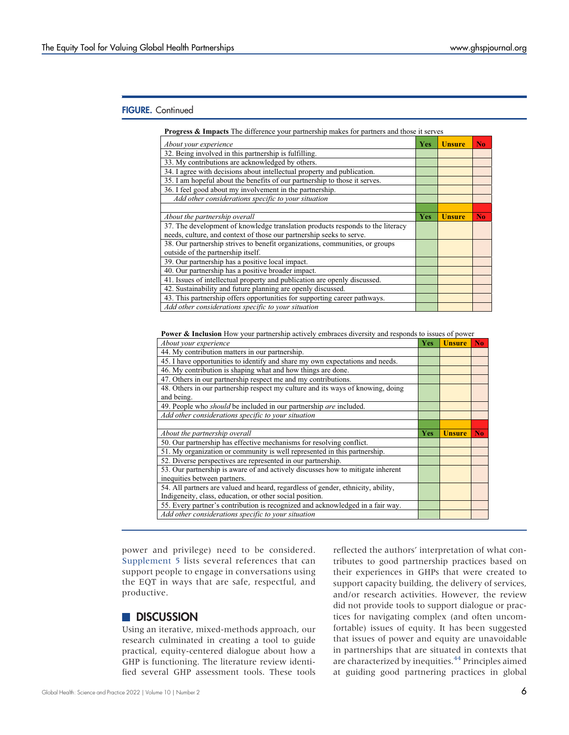# FIGURE. Continued

|  | <b>Progress &amp; Impacts</b> The difference your partnership makes for partners and those it serves |
|--|------------------------------------------------------------------------------------------------------|

| About your experience                                                          | <b>Yes</b> | <b>Unsure</b> | N <sub>0</sub> |
|--------------------------------------------------------------------------------|------------|---------------|----------------|
| 32. Being involved in this partnership is fulfilling.                          |            |               |                |
| 33. My contributions are acknowledged by others.                               |            |               |                |
| 34. I agree with decisions about intellectual property and publication.        |            |               |                |
| 35. I am hopeful about the benefits of our partnership to those it serves.     |            |               |                |
| 36. I feel good about my involvement in the partnership.                       |            |               |                |
| Add other considerations specific to your situation                            |            |               |                |
|                                                                                |            |               |                |
| About the partnership overall                                                  |            | <b>Unsure</b> | N <sub>0</sub> |
| 37. The development of knowledge translation products responds to the literacy |            |               |                |
| needs, culture, and context of those our partnership seeks to serve.           |            |               |                |
| 38. Our partnership strives to benefit organizations, communities, or groups   |            |               |                |
| outside of the partnership itself.                                             |            |               |                |
| 39. Our partnership has a positive local impact.                               |            |               |                |
| 40. Our partnership has a positive broader impact.                             |            |               |                |
| 41. Issues of intellectual property and publication are openly discussed.      |            |               |                |
| 42. Sustainability and future planning are openly discussed.                   |            |               |                |
| 43. This partnership offers opportunities for supporting career pathways.      |            |               |                |
| Add other considerations specific to your situation                            |            |               |                |

**Power & Inclusion** How your partnership actively embraces diversity and responds to issues of power

| <b>Yes</b> | <b>Unsure</b> | N <sub>0</sub> |
|------------|---------------|----------------|
|            |               |                |
|            |               |                |
|            |               |                |
|            |               |                |
|            |               |                |
|            |               |                |
|            |               |                |
|            |               |                |
|            |               |                |
| <b>Yes</b> | <b>Unsure</b> | N <sub>0</sub> |
|            |               |                |
|            |               |                |
|            |               |                |
|            |               |                |
|            |               |                |
|            |               |                |
|            |               |                |
|            |               |                |
|            |               |                |
|            |               |                |

power and privilege) need to be considered. [Supplement 5](http://ghspjournal.org/lookup/suppl/doi:10.9745/GHSP-D-21-00316/-/DCSupplemental) lists several references that can support people to engage in conversations using the EQT in ways that are safe, respectful, and productive.

# **DISCUSSION**

Using an iterative, mixed-methods approach, our research culminated in creating a tool to guide practical, equity-centered dialogue about how a GHP is functioning. The literature review identified several GHP assessment tools. These tools reflected the authors' interpretation of what contributes to good partnership practices based on their experiences in GHPs that were created to support capacity building, the delivery of services, and/or research activities. However, the review did not provide tools to support dialogue or practices for navigating complex (and often uncomfortable) issues of equity. It has been suggested that issues of power and equity are unavoidable in partnerships that are situated in contexts that are characterized by inequities.<sup>[44](#page-8-25)</sup> Principles aimed at guiding good partnering practices in global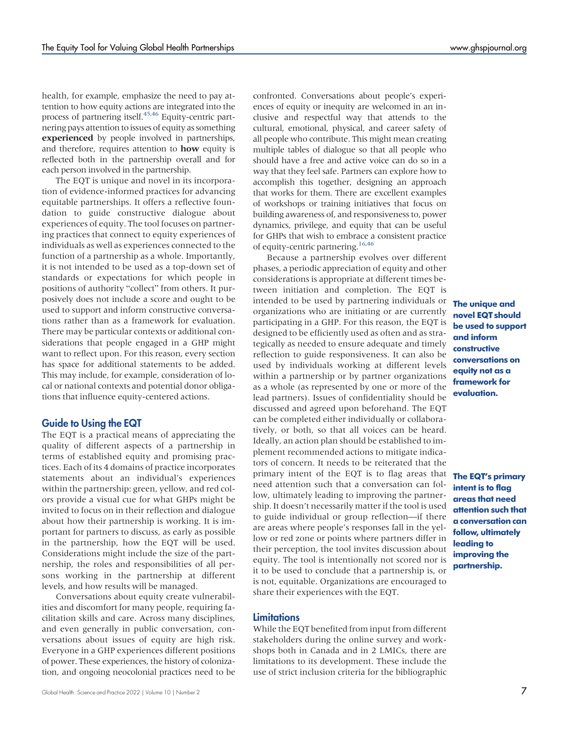health, for example, emphasize the need to pay attention to how equity actions are integrated into the process of partnering itself.<sup>45[,46](#page-8-27)</sup> Equity-centric partnering pays attention to issues of equity as something experienced by people involved in partnerships, and therefore, requires attention to **how** equity is reflected both in the partnership overall and for each person involved in the partnership.

The EQT is unique and novel in its incorporation of evidence-informed practices for advancing equitable partnerships. It offers a reflective foundation to guide constructive dialogue about experiences of equity. The tool focuses on partnering practices that connect to equity experiences of individuals as well as experiences connected to the function of a partnership as a whole. Importantly, it is not intended to be used as a top-down set of standards or expectations for which people in positions of authority "collect" from others. It purposively does not include a score and ought to be used to support and inform constructive conversations rather than as a framework for evaluation. There may be particular contexts or additional considerations that people engaged in a GHP might want to reflect upon. For this reason, every section has space for additional statements to be added. This may include, for example, consideration of local or national contexts and potential donor obligations that influence equity-centered actions.

# Guide to Using the EQT

The EQT is a practical means of appreciating the quality of different aspects of a partnership in terms of established equity and promising practices. Each of its 4 domains of practice incorporates statements about an individual's experiences within the partnership: green, yellow, and red colors provide a visual cue for what GHPs might be invited to focus on in their reflection and dialogue about how their partnership is working. It is important for partners to discuss, as early as possible in the partnership, how the EQT will be used. Considerations might include the size of the partnership, the roles and responsibilities of all persons working in the partnership at different levels, and how results will be managed.

Conversations about equity create vulnerabilities and discomfort for many people, requiring facilitation skills and care. Across many disciplines, and even generally in public conversation, conversations about issues of equity are high risk. Everyone in a GHP experiences different positions of power. These experiences, the history of colonization, and ongoing neocolonial practices need to be

confronted. Conversations about people's experiences of equity or inequity are welcomed in an inclusive and respectful way that attends to the cultural, emotional, physical, and career safety of all people who contribute. This might mean creating multiple tables of dialogue so that all people who should have a free and active voice can do so in a way that they feel safe. Partners can explore how to accomplish this together, designing an approach that works for them. There are excellent examples of workshops or training initiatives that focus on building awareness of, and responsiveness to, power dynamics, privilege, and equity that can be useful for GHPs that wish to embrace a consistent practice of equity-centric partnering.<sup>[16](#page-7-14)[,46](#page-8-27)</sup>

Because a partnership evolves over different phases, a periodic appreciation of equity and other considerations is appropriate at different times between initiation and completion. The EQT is intended to be used by partnering individuals or organizations who are initiating or are currently participating in a GHP. For this reason, the EQT is designed to be efficiently used as often and as strategically as needed to ensure adequate and timely reflection to guide responsiveness. It can also be used by individuals working at different levels within a partnership or by partner organizations as a whole (as represented by one or more of the lead partners). Issues of confidentiality should be discussed and agreed upon beforehand. The EQT can be completed either individually or collaboratively, or both, so that all voices can be heard. Ideally, an action plan should be established to implement recommended actions to mitigate indicators of concern. It needs to be reiterated that the primary intent of the EQT is to flag areas that need attention such that a conversation can follow, ultimately leading to improving the partnership. It doesn't necessarily matter if the tool is used to guide individual or group reflection—if there are areas where people's responses fall in the yellow or red zone or points where partners differ in their perception, the tool invites discussion about equity. The tool is intentionally not scored nor is it to be used to conclude that a partnership is, or is not, equitable. Organizations are encouraged to share their experiences with the EQT.

### **Limitations**

While the EQT benefited from input from different stakeholders during the online survey and workshops both in Canada and in 2 LMICs, there are limitations to its development. These include the use of strict inclusion criteria for the bibliographic

The unique and novel EQT should be used to support and inform constructive conversations on equity not as a framework for evaluation.

The EQT's primary intent is to flag areas that need attention such that a conversation can follow, ultimately leading to improving the partnership.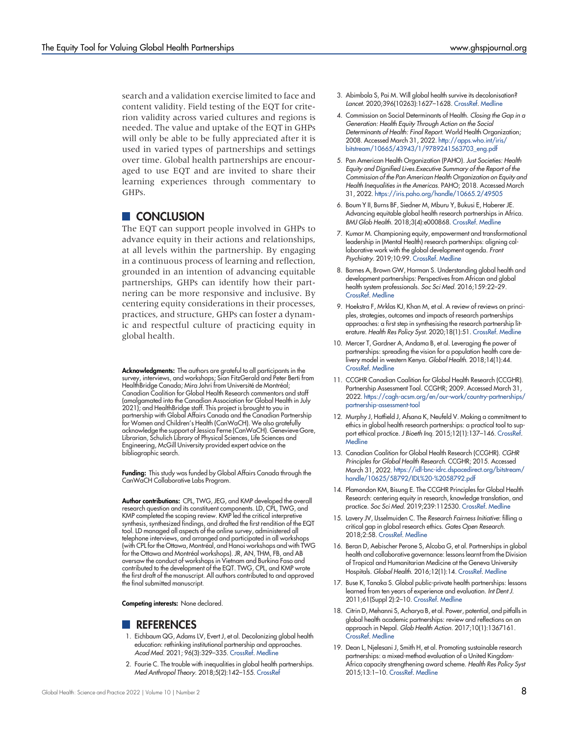search and a validation exercise limited to face and content validity. Field testing of the EQT for criterion validity across varied cultures and regions is needed. The value and uptake of the EQT in GHPs will only be able to be fully appreciated after it is used in varied types of partnerships and settings over time. Global health partnerships are encouraged to use EQT and are invited to share their learning experiences through commentary to GHPs.

# **CONCLUSION**

The EQT can support people involved in GHPs to advance equity in their actions and relationships, at all levels within the partnership. By engaging in a continuous process of learning and reflection, grounded in an intention of advancing equitable partnerships, GHPs can identify how their partnering can be more responsive and inclusive. By centering equity considerations in their processes, practices, and structure, GHPs can foster a dynamic and respectful culture of practicing equity in global health.

Acknowledgments: The authors are grateful to all participants in the survey, interviews, and workshops; Sian FitzGerald and Peter Berti from HealthBridge Canada; Mira Johri from Université de Montréal; Canadian Coalition for Global Health Research commentors and staff (amalgamated into the Canadian Association for Global Health in July 2021); and HealthBridge staff. This project is brought to you in partnership with Global Affairs Canada and the Canadian Partnership for Women and Children's Health (CanWaCH). We also gratefully acknowledge the support of Jessica Ferne (CanWaCH). Genevieve Gore, Librarian, Schulich Library of Physical Sciences, Life Sciences and Engineering, McGill University provided expert advice on the bibliographic search.

Funding: This study was funded by Global Affairs Canada through the CanWaCH Collaborative Labs Program.

Author contributions: CPL, TWG, JEG, and KMP developed the overall research question and its constituent components. LD, CPL, TWG, and KMP completed the scoping review. KMP led the critical interpretive synthesis, synthesized findings, and drafted the first rendition of the EQT tool. LD managed all aspects of the online survey, administered all telephone interviews, and arranged and participated in all workshops (with CPL for the Ottawa, Montréal, and Hanoi workshops and with TWG for the Ottawa and Montréal workshops). JR, AN, THM, FB, and AB oversaw the conduct of workshops in Vietnam and Burkina Faso and contributed to the development of the EQT. TWG, CPL, and KMP wrote the first draft of the manuscript. All authors contributed to and approved the final submitted manuscript.

Competing interests: None declared.

### **REFERENCES**

- <span id="page-7-0"></span>1. Eichbaum QG, Adams LV, Evert J, et al. Decolonizing global health education: rethinking institutional partnership and approaches. Acad Med. 2021; 96(3):329–335. [CrossRef.](https://doi.org/10.1097/acm.0000000000003473) [Medline](http://www.ncbi.nlm.nih.gov/pubmed/32349015)
- <span id="page-7-1"></span>2. Fourie C. The trouble with inequalities in global health partnerships. Med Anthropol Theory. 2018;5(2):142–155. [CrossRef](https://doi.org/10.17157/mat.5.2.525)
- <span id="page-7-2"></span>3. Abimbola S, Pai M. Will global health survive its decolonisation? Lancet. 2020;396(10263):1627–1628. [CrossRef.](https://doi.org/10.1016/s0140-6736(20)32417-x) [Medline](http://www.ncbi.nlm.nih.gov/pubmed/33220735)
- <span id="page-7-3"></span>4. Commission on Social Determinants of Health. Closing the Gap in a Generation: Health Equity Through Action on the Social Determinants of Health: Final Report. World Health Organization; 2008. Accessed March 31, 2022. [http://apps.who.int/iris/](http://apps.who.int/iris/bitstream/10665/43943/1/9789241563703_eng.pdf) [bitstream/10665/43943/1/9789241563703\\_eng.pdf](http://apps.who.int/iris/bitstream/10665/43943/1/9789241563703_eng.pdf)
- <span id="page-7-4"></span>5. Pan American Health Organization (PAHO). Just Societies: Health Equity and Dignified Lives.Executive Summary of the Report of the Commission of the Pan American Health Organization on Equity and Health Inequalities in the Americas. PAHO; 2018. Accessed March 31, 2022. <https://iris.paho.org/handle/10665.2/49505>
- <span id="page-7-5"></span>6. Boum Y II, Burns BF, Siedner M, Mburu Y, Bukusi E, Haberer JE. Advancing equitable global health research partnerships in Africa. BMJ Glob Health. 2018;3(4):e000868. [CrossRef](https://doi.org/10.1136/bmjgh-2018-000868). [Medline](http://www.ncbi.nlm.nih.gov/pubmed/30167335)
- <span id="page-7-6"></span>7. Kumar M. Championing equity, empowerment and transformational leadership in (Mental Health) research partnerships: aligning collaborative work with the global development agenda. Front Psychiatry. 2019;10:99. [CrossRef](https://doi.org/10.3389/fpsyt.2019.00099). [Medline](http://www.ncbi.nlm.nih.gov/pubmed/30936839)
- <span id="page-7-7"></span>8. Barnes A, Brown GW, Harman S. Understanding global health and development partnerships: Perspectives from African and global health system professionals. Soc Sci Med. 2016;159:22–29. [CrossRef](https://doi.org/10.1016/j.socscimed.2016.04.033). [Medline](http://www.ncbi.nlm.nih.gov/pubmed/27155226)
- 9. Hoekstra F, Mrklas KJ, Khan M, et al. A review of reviews on principles, strategies, outcomes and impacts of research partnerships approaches: a first step in synthesising the research partnership literature. Health Res Policy Syst. 2020;18(1):51. [CrossRef](https://doi.org/10.1186/s12961-020-0544-9). [Medline](http://www.ncbi.nlm.nih.gov/pubmed/32450919)
- <span id="page-7-8"></span>10. Mercer T, Gardner A, Andama B, et al. Leveraging the power of partnerships: spreading the vision for a population health care delivery model in western Kenya. Global Health. 2018;14(1):44. [CrossRef](https://doi.org/10.1186/s12992-018-0366-5). [Medline](http://www.ncbi.nlm.nih.gov/pubmed/29739421)
- <span id="page-7-9"></span>11. CCGHR Canadian Coalition for Global Health Research (CCGHR). Partnership Assessment Tool. CCGHR; 2009. Accessed March 31, 2022. [https://cagh-acsm.org/en/our-work/country-partnerships/](https://cagh-acsm.org/en/our-work/country-partnerships/partnership-assessment-tool) [partnership-assessment-tool](https://cagh-acsm.org/en/our-work/country-partnerships/partnership-assessment-tool)
- <span id="page-7-10"></span>12. Murphy J, Hatfield J, Afsana K, Neufeld V. Making a commitment to ethics in global health research partnerships: a practical tool to support ethical practice. J Bioeth Inq. 2015;12(1):137–146. [CrossRef.](https://doi.org/10.1007/s11673-014-9604-6) **[Medline](http://www.ncbi.nlm.nih.gov/pubmed/25648123)**
- <span id="page-7-11"></span>13. Canadian Coalition for Global Health Research (CCGHR). CGHR Principles for Global Health Research. CCGHR; 2015. Accessed March 31, 2022. [https://idl-bnc-idrc.dspacedirect.org/bitstream/](https://idl-bnc-idrc.dspacedirect.org/bitstream/handle/10625/58792/IDL%20-%2058792.pdf) [handle/10625/58792/IDL%20-%2058792.pdf](https://idl-bnc-idrc.dspacedirect.org/bitstream/handle/10625/58792/IDL%20-%2058792.pdf)
- <span id="page-7-12"></span>14. Plamondon KM, Bisung E. The CCGHR Principles for Global Health Research: centering equity in research, knowledge translation, and practice. Soc Sci Med. 2019;239:112530. [CrossRef](https://doi.org/10.1016/j.socscimed.2019.112530). [Medline](http://www.ncbi.nlm.nih.gov/pubmed/31539786)
- <span id="page-7-13"></span>15. Lavery JV, IJsselmuiden C. The Research Fairness Initiative: filling a critical gap in global research ethics. Gates Open Research. 2018;2:58. [CrossRef.](https://doi.org/10.12688/gatesopenres.12884.1) [Medline](http://www.ncbi.nlm.nih.gov/pubmed/30706057)
- <span id="page-7-14"></span>16. Beran D, Aebischer Perone S, Alcoba G, et al. Partnerships in global health and collaborative governance: lessons learnt from the Division of Tropical and Humanitarian Medicine at the Geneva University Hospitals. Global Health. 2016;12(1):14. [CrossRef](https://doi.org/10.1186/s12992-016-0156-x). [Medline](http://www.ncbi.nlm.nih.gov/pubmed/27129684)
- <span id="page-7-15"></span>17. Buse K, Tanaka S. Global public-private health partnerships: lessons learned from ten years of experience and evaluation. Int Dent J. 2011;61(Suppl 2):2–10. [CrossRef](https://doi.org/10.1111/j.1875-595x.2011.00034.x). [Medline](http://www.ncbi.nlm.nih.gov/pubmed/21770935)
- <span id="page-7-16"></span>18. Citrin D, Mehanni S, Acharya B, et al. Power, potential, and pitfalls in global health academic partnerships: review and reflections on an approach in Nepal. Glob Health Action. 2017;10(1):1367161. [CrossRef](https://doi.org/10.1080/16549716.2017.1367161). [Medline](http://www.ncbi.nlm.nih.gov/pubmed/28914185)
- <span id="page-7-17"></span>19. Dean L, Njelesani J, Smith H, et al. Promoting sustainable research partnerships: a mixed-method evaluation of a United Kingdom-Africa capacity strengthening award scheme. Health Res Policy Syst 2015;13:1–10. [CrossRef](https://doi.org/10.1186/s12961-015-0071-2). [Medline](http://www.ncbi.nlm.nih.gov/pubmed/26695073)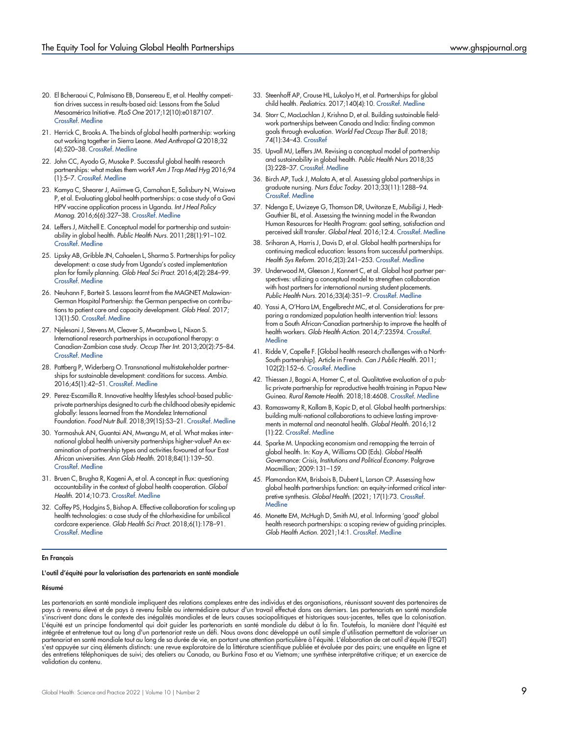- <span id="page-8-2"></span>20. El Bcheraoui C, Palmisano EB, Dansereau E, et al. Healthy competition drives success in results-based aid: Lessons from the Salud Mesoamérica Initiative. PLoS One 2017;12(10):e0187107. [CrossRef.](https://doi.org/10.1371/journal.pone.0187107) [Medline](http://www.ncbi.nlm.nih.gov/pubmed/29077731)
- <span id="page-8-3"></span>21. Herrick C, Brooks A. The binds of global health partnership: working out working together in Sierra Leone. Med Anthropol Q 2018;32 (4):520–38. [CrossRef.](https://doi.org/10.1111/maq.12462) [Medline](http://www.ncbi.nlm.nih.gov/pubmed/29968939)
- <span id="page-8-4"></span>22. John CC, Ayodo G, Musoke P. Successful global health research partnerships: what makes them work? Am J Trop Med Hyg 2016;94 (1):5–7. [CrossRef.](https://doi.org/10.4269/ajtmh.15-0611) [Medline](http://www.ncbi.nlm.nih.gov/pubmed/26483123)
- <span id="page-8-5"></span>23. Kamya C, Shearer J, Asiimwe G, Carnahan E, Salisbury N, Waiswa P, et al. Evaluating global health partnerships: a case study of a Gavi HPV vaccine application process in Uganda. Int J Heal Policy Manag. 2016;6(6):327–38. [CrossRef](https://doi.org/10.15171/ijhpm.2016.137). [Medline](http://www.ncbi.nlm.nih.gov/pubmed/28812825)
- <span id="page-8-6"></span>24. Leffers J, Mitchell E. Conceptual model for partnership and sustainability in global health. Public Health Nurs. 2011;28(1):91–102. [CrossRef.](https://doi.org/10.1111/j.1525-1446.2010.00892.x) [Medline](http://www.ncbi.nlm.nih.gov/pubmed/21198819)
- <span id="page-8-7"></span>25. Lipsky AB, Gribble JN, Cahaelen L, Sharma S. Partnerships for policy development: a case study from Uganda's costed implementation plan for family planning. Glob Heal Sci Pract. 2016;4(2):284–99. [CrossRef.](https://doi.org/10.9745/ghsp-d-15-00300) [Medline](http://www.ncbi.nlm.nih.gov/pubmed/27353621)
- <span id="page-8-8"></span>26. Neuhann F, Barteit S. Lessons learnt from the MAGNET Malawian-German Hospital Partnership: the German perspective on contributions to patient care and capacity development. Glob Heal. 2017; 13(1):50. [CrossRef](https://doi.org/10.1186/s12992-017-0270-4). [Medline](http://www.ncbi.nlm.nih.gov/pubmed/28747207)
- <span id="page-8-9"></span>27. Njelesani J, Stevens M, Cleaver S, Mwambwa L, Nixon S. International research partnerships in occupational therapy: a Canadian-Zambian case study. Occup Ther Int. 2013;20(2):75–84. [CrossRef.](https://doi.org/10.1002/oti.1346) [Medline](http://www.ncbi.nlm.nih.gov/pubmed/23533155)
- <span id="page-8-10"></span>28. Pattberg P, Widerberg O. Transnational multistakeholder partnerships for sustainable development: conditions for success. Ambio. 2016;45(1):42–51. [CrossRef](https://doi.org/10.1007/s13280-015-0684-2). [Medline](http://www.ncbi.nlm.nih.gov/pubmed/26202088)
- <span id="page-8-11"></span>29. Perez-Escamilla R. Innovative healthy lifestyles school-based publicprivate partnerships designed to curb the childhood obesity epidemic globally: lessons learned from the Mondelez International Foundation. Food Nutr Bull. 2018;39(1S):S3–21. [CrossRef](https://doi.org/10.1177/0379572118767690). [Medline](http://www.ncbi.nlm.nih.gov/pubmed/29756491)
- <span id="page-8-12"></span>30. Yarmoshuk AN, Guantai AN, Mwangu M, et al. What makes international global health university partnerships higher-value? An examination of partnership types and activities fovoured at four East African universities. Ann Glob Health. 2018;84(1):139–50. [CrossRef.](https://doi.org/10.29024/aogh.20) [Medline](http://www.ncbi.nlm.nih.gov/pubmed/30873772)
- <span id="page-8-13"></span>31. Bruen C, Brugha R, Kageni A, et al. A concept in flux: questioning accountability in the context of global health cooperation. Global Health. 2014;10:73. [CrossRef](https://doi.org/10.1186/s12992-014-0073-9). [Medline](http://www.ncbi.nlm.nih.gov/pubmed/25487705)
- <span id="page-8-14"></span>32. Coffey PS, Hodgins S, Bishop A. Effective collaboration for scaling up health technologies: a case study of the chlorhexidine for umbilical cordcare experience. Glob Health Sci Pract. 2018;6(1):178–91. [CrossRef.](https://doi.org/10.9745/ghsp-d-17-00380) [Medline](http://www.ncbi.nlm.nih.gov/pubmed/29602871)
- <span id="page-8-15"></span>33. Steenhoff AP, Crouse HL, Lukolyo H, et al. Partnerships for global child health. Pediatrics. 2017;140(4):10. [CrossRef](https://doi.org/10.1542/peds.2016-3823). [Medline](http://www.ncbi.nlm.nih.gov/pubmed/28931576)
- <span id="page-8-16"></span>34. Storr C, MacLachlan J, Krishna D, et al. Building sustainable fieldwork partnerships between Canada and India: finding common goals through evaluation. World Fed Occup Ther Bull. 2018; 74(1):34–43. [CrossRef](https://doi.org/10.1080/14473828.2018.1432312)
- <span id="page-8-17"></span>35. Upvall MJ, Leffers JM. Revising a conceptual model of partnership and sustainability in global health. Public Health Nurs 2018;35 (3):228–37. [CrossRef.](https://doi.org/10.1111/phn.12396) [Medline](http://www.ncbi.nlm.nih.gov/pubmed/29542184)
- <span id="page-8-18"></span>36. Birch AP, Tuck J, Malata A, et al. Assessing global partnerships in graduate nursing. Nurs Educ Today. 2013;33(11):1288–94. [CrossRef.](https://doi.org/10.1016/j.nedt.2013.03.014) [Medline](http://www.ncbi.nlm.nih.gov/pubmed/23664107)
- <span id="page-8-19"></span>37. Ndenga E, Uwizeye G, Thomson DR, Uwitonze E, Mubiligi J, Hedt-Gauthier BL, et al. Assessing the twinning model in the Rwandan Human Resources for Health Program: goal setting, satisfaction and perceived skill transfer. Global Heal. 2016;12:4. [CrossRef](https://doi.org/10.1186/s12992-016-0141-4). [Medline](http://www.ncbi.nlm.nih.gov/pubmed/26822614)
- <span id="page-8-20"></span>38. Sriharan A, Harris J, Davis D, et al. Global health partnerships for continuing medical education: lessons from successful partnerships. Health Sys Reform. 2016;2(3):241–253. [CrossRef.](https://doi.org/10.1080/23288604.2016.1220776) [Medline](http://www.ncbi.nlm.nih.gov/pubmed/31514597)
- <span id="page-8-21"></span>39. Underwood M, Gleeson J, Konnert C, et al. Global host partner perspectives: utilizing a conceptual model to strengthen collaboration with host partners for international nursing student placements. Public Health Nurs. 2016;33(4):351–9. [CrossRef.](https://doi.org/10.1111/phn.12258) [Medline](http://www.ncbi.nlm.nih.gov/pubmed/26956142)
- <span id="page-8-22"></span>40. Yassi A, O'Hara LM, Engelbrecht MC, et al. Considerations for preparing a randomized population health intervention trial: lessons from a South African-Canadian partnership to improve the health of health workers. Glob Health Action. 2014;7:23594. [CrossRef.](https://doi.org/10.3402/gha.v7.23594) **[Medline](http://www.ncbi.nlm.nih.gov/pubmed/24802561)**
- <span id="page-8-23"></span>41. Ridde V, Capelle F. [Global health research challenges with a North-South partnership]. Article in French. Can J Public Health. 2011; 102(2):152–6. [CrossRef.](https://doi.org/10.1007/bf03404166) [Medline](http://www.ncbi.nlm.nih.gov/pubmed/21612053)
- <span id="page-8-24"></span>42. Thiessen J, Bagoi A, Homer C, et al. Qualitative evaluation of a public private partnership for reproductive health training in Papua New Guinea. Rural Remote Health. 2018;18:4608. [CrossRef](https://doi.org/10.22605/rrh4608). [Medline](http://www.ncbi.nlm.nih.gov/pubmed/30543754)
- <span id="page-8-1"></span>43. Ramaswamy R, Kallam B, Kopic D, et al. Global health partnerships: building multi-national collaborations to achieve lasting improvements in maternal and neonatal health. Global Health. 2016;12 (1):22. [CrossRef](https://doi.org/10.1186/s12992-016-0159-7). [Medline](http://www.ncbi.nlm.nih.gov/pubmed/27206731)
- <span id="page-8-25"></span>44. Sparke M. Unpacking economism and remapping the terrain of global health. In: Kay A, Williams OD (Eds). Global Health Governance: Crisis, Institutions and Political Economy. Palgrave Macmillian; 2009:131–159.
- <span id="page-8-26"></span>45. Plamondon KM, Brisbois B, Dubent L, Larson CP. Assessing how global health partnerships function: an equity-informed critical interpretive synthesis. Global Health. (2021; 17(1):73. [CrossRef.](https://doi.org/10.1186/s12992-021-00726-z) **[Medline](http://www.ncbi.nlm.nih.gov/pubmed/34215301)**
- <span id="page-8-27"></span>46. Monette EM, McHugh D, Smith MJ, et al. Informing 'good' global health research partnerships: a scoping review of guiding principles. Glob Health Action. 2021;14:1. [CrossRef](https://doi.org/10.1080/16549716.2021.1892308). [Medline](http://www.ncbi.nlm.nih.gov/pubmed/33704024)

#### En Français

L'outil d'équité pour la valorisation des partenariats en santé mondiale

#### <span id="page-8-0"></span>Résumé

Les partenariats en santé mondiale impliquent des relations complexes entre des individus et des organisations, réunissant souvent des partenaires de pays à revenu élevé et de pays à revenu faible ou intermédiaire autour d'un travail effectué dans ces derniers. Les partenariats en santé mondiale s'inscrivent donc dans le contexte des inégalités mondiales et de leurs causes sociopolitiques et historiques sous-jacentes, telles que la colonisation. L'équité est un principe fondamental qui doit guider les partenariats en santé mondiale du début à la fin. Toutefois, la manière dont l'équité est intégrée et entretenue tout au long d'un partenariat reste un défi. Nous avons donc développé un outil simple d'utilisation permettant de valoriser un partenariat en santé mondiale tout au long de sa durée de vie, en portant une attention particulière à l'équité. L'élaboration de cet outil d'équité (l'EQT) s'est appuyée sur cinq éléments distincts: une revue exploratoire de la littérature scientifique publiée et évaluée par des pairs; une enquête en ligne et des entretiens téléphoniques de suivi; des ateliers au Canada, au Burkina Faso et au Vietnam; une synthèse interprétative critique; et un exercice de validation du contenu.